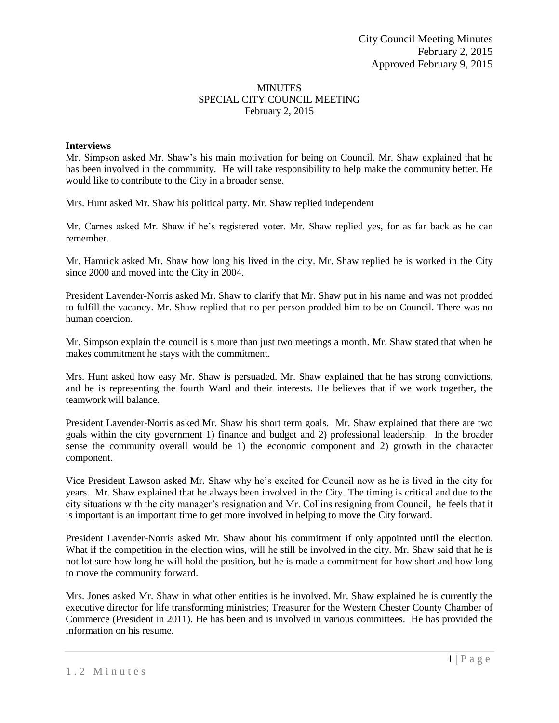# MINUTES SPECIAL CITY COUNCIL MEETING February 2, 2015

### **Interviews**

Mr. Simpson asked Mr. Shaw's his main motivation for being on Council. Mr. Shaw explained that he has been involved in the community. He will take responsibility to help make the community better. He would like to contribute to the City in a broader sense.

Mrs. Hunt asked Mr. Shaw his political party. Mr. Shaw replied independent

Mr. Carnes asked Mr. Shaw if he's registered voter. Mr. Shaw replied yes, for as far back as he can remember.

Mr. Hamrick asked Mr. Shaw how long his lived in the city. Mr. Shaw replied he is worked in the City since 2000 and moved into the City in 2004.

President Lavender-Norris asked Mr. Shaw to clarify that Mr. Shaw put in his name and was not prodded to fulfill the vacancy. Mr. Shaw replied that no per person prodded him to be on Council. There was no human coercion.

Mr. Simpson explain the council is s more than just two meetings a month. Mr. Shaw stated that when he makes commitment he stays with the commitment.

Mrs. Hunt asked how easy Mr. Shaw is persuaded. Mr. Shaw explained that he has strong convictions, and he is representing the fourth Ward and their interests. He believes that if we work together, the teamwork will balance.

President Lavender-Norris asked Mr. Shaw his short term goals. Mr. Shaw explained that there are two goals within the city government 1) finance and budget and 2) professional leadership. In the broader sense the community overall would be 1) the economic component and 2) growth in the character component.

Vice President Lawson asked Mr. Shaw why he's excited for Council now as he is lived in the city for years. Mr. Shaw explained that he always been involved in the City. The timing is critical and due to the city situations with the city manager's resignation and Mr. Collins resigning from Council, he feels that it is important is an important time to get more involved in helping to move the City forward.

President Lavender-Norris asked Mr. Shaw about his commitment if only appointed until the election. What if the competition in the election wins, will he still be involved in the city. Mr. Shaw said that he is not lot sure how long he will hold the position, but he is made a commitment for how short and how long to move the community forward.

Mrs. Jones asked Mr. Shaw in what other entities is he involved. Mr. Shaw explained he is currently the executive director for life transforming ministries; Treasurer for the Western Chester County Chamber of Commerce (President in 2011). He has been and is involved in various committees. He has provided the information on his resume.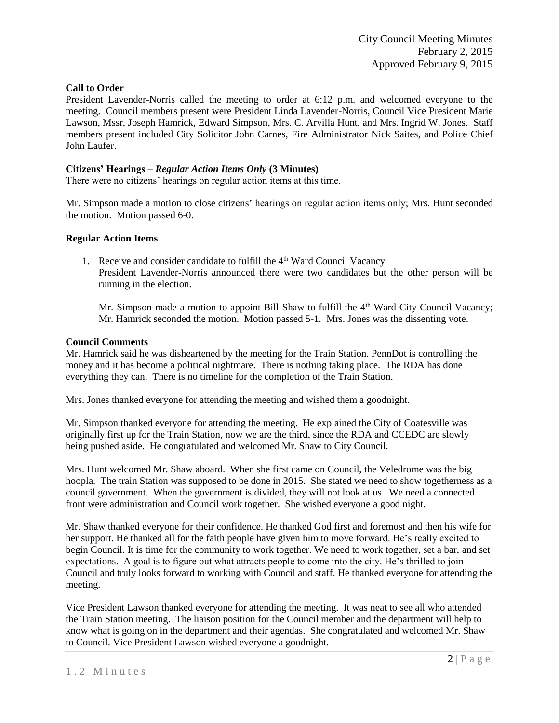## **Call to Order**

President Lavender-Norris called the meeting to order at 6:12 p.m. and welcomed everyone to the meeting. Council members present were President Linda Lavender-Norris, Council Vice President Marie Lawson, Mssr, Joseph Hamrick, Edward Simpson, Mrs. C. Arvilla Hunt, and Mrs. Ingrid W. Jones. Staff members present included City Solicitor John Carnes, Fire Administrator Nick Saites, and Police Chief John Laufer.

## **Citizens' Hearings –** *Regular Action Items Only* **(3 Minutes)**

There were no citizens' hearings on regular action items at this time.

Mr. Simpson made a motion to close citizens' hearings on regular action items only; Mrs. Hunt seconded the motion. Motion passed 6-0.

## **Regular Action Items**

1. Receive and consider candidate to fulfill the  $4<sup>th</sup>$  Ward Council Vacancy President Lavender-Norris announced there were two candidates but the other person will be running in the election.

Mr. Simpson made a motion to appoint Bill Shaw to fulfill the  $4<sup>th</sup>$  Ward City Council Vacancy; Mr. Hamrick seconded the motion. Motion passed 5-1. Mrs. Jones was the dissenting vote.

## **Council Comments**

Mr. Hamrick said he was disheartened by the meeting for the Train Station. PennDot is controlling the money and it has become a political nightmare. There is nothing taking place. The RDA has done everything they can. There is no timeline for the completion of the Train Station.

Mrs. Jones thanked everyone for attending the meeting and wished them a goodnight.

Mr. Simpson thanked everyone for attending the meeting. He explained the City of Coatesville was originally first up for the Train Station, now we are the third, since the RDA and CCEDC are slowly being pushed aside. He congratulated and welcomed Mr. Shaw to City Council.

Mrs. Hunt welcomed Mr. Shaw aboard. When she first came on Council, the Veledrome was the big hoopla. The train Station was supposed to be done in 2015. She stated we need to show togetherness as a council government. When the government is divided, they will not look at us. We need a connected front were administration and Council work together. She wished everyone a good night.

Mr. Shaw thanked everyone for their confidence. He thanked God first and foremost and then his wife for her support. He thanked all for the faith people have given him to move forward. He's really excited to begin Council. It is time for the community to work together. We need to work together, set a bar, and set expectations. A goal is to figure out what attracts people to come into the city. He's thrilled to join Council and truly looks forward to working with Council and staff. He thanked everyone for attending the meeting.

Vice President Lawson thanked everyone for attending the meeting. It was neat to see all who attended the Train Station meeting. The liaison position for the Council member and the department will help to know what is going on in the department and their agendas. She congratulated and welcomed Mr. Shaw to Council. Vice President Lawson wished everyone a goodnight.